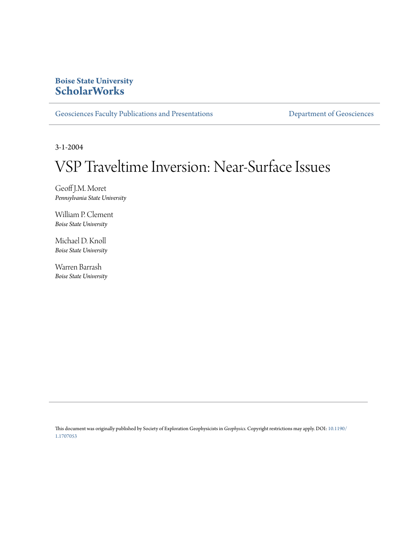# **Boise State University [ScholarWorks](https://scholarworks.boisestate.edu)**

[Geosciences Faculty Publications and Presentations](https://scholarworks.boisestate.edu/geo_facpubs) **[Department of Geosciences](https://scholarworks.boisestate.edu/geosciences)** 

3-1-2004

# VSP Traveltime Inversion: Near-Surface Issues

Geoff J.M. Moret *Pennsylvania State University*

William P. Clement *Boise State University*

Michael D. Knoll *Boise State University*

Warren Barrash *Boise State University*

This document was originally published by Society of Exploration Geophysicists in *Geophysics.* Copyright restrictions may apply. DOI: [10.1190/](http://dx.doi.org/10.1190/1.1707053) [1.1707053](http://dx.doi.org/10.1190/1.1707053)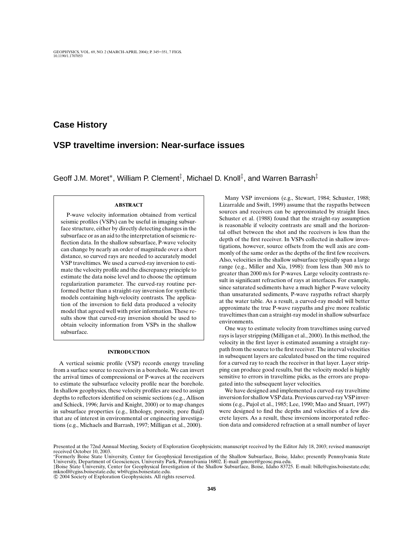## **Case History**

# **VSP traveltime inversion: Near-surface issues**

Geoff J.M. Moret<sup>\*</sup>, William P. Clement<sup>‡</sup>, Michael D. Knoll<sup>‡</sup>, and Warren Barrash<sup>‡</sup>

### **ABSTRACT**

P-wave velocity information obtained from vertical seismic profiles (VSPs) can be useful in imaging subsurface structure, either by directly detecting changes in the subsurface or as an aid to the interpretation of seismic reflection data. In the shallow subsurface, P-wave velocity can change by nearly an order of magnitude over a short distance, so curved rays are needed to accurately model VSP traveltimes. We used a curved-ray inversion to estimate the velocity profile and the discrepancy principle to estimate the data noise level and to choose the optimum regularization parameter. The curved-ray routine performed better than a straight-ray inversion for synthetic models containing high-velocity contrasts. The application of the inversion to field data produced a velocity model that agreed well with prior information. These results show that curved-ray inversion should be used to obtain velocity information from VSPs in the shallow subsurface.

### **INTRODUCTION**

A vertical seismic profile (VSP) records energy traveling from a surface source to receivers in a borehole. We can invert the arrival times of compressional or P-waves at the receivers to estimate the subsurface velocity profile near the borehole. In shallow geophysics, these velocity profiles are used to assign depths to reflectors identified on seismic sections (e.g., Allison and Schieck, 1996; Jarvis and Knight, 2000) or to map changes in subsurface properties (e.g., lithology, porosity, pore fluid) that are of interest in environmental or engineering investigations (e.g., Michaels and Barrash, 1997; Milligan et al., 2000).

Many VSP inversions (e.g., Stewart, 1984; Schuster, 1988; Lizarralde and Swift, 1999) assume that the raypaths between sources and receivers can be approximated by straight lines. Schuster et al. (1988) found that the straight-ray assumption is reasonable if velocity contrasts are small and the horizontal offset between the shot and the receivers is less than the depth of the first receiver. In VSPs collected in shallow investigations, however, source offsets from the well axis are commonly of the same order as the depths of the first few receivers. Also, velocities in the shallow subsurface typically span a large range (e.g., Miller and Xia, 1998): from less than 300 m/s to greater than 2000 m/s for P-waves. Large velocity contrasts result in significant refraction of rays at interfaces. For example, since saturated sediments have a much higher P-wave velocity than unsaturated sediments, P-wave raypaths refract sharply at the water table. As a result, a curved-ray model will better approximate the true P-wave raypaths and give more realistic traveltimes than can a straight-ray model in shallow subsurface environments.

One way to estimate velocity from traveltimes using curved rays is layer stripping (Milligan et al., 2000). In this method, the velocity in the first layer is estimated assuming a straight raypath from the source to the first receiver. The interval velocities in subsequent layers are calculated based on the time required for a curved ray to reach the receiver in that layer. Layer stripping can produce good results, but the velocity model is highly sensitive to errors in traveltime picks, as the errors are propagated into the subsequent layer velocities.

We have designed and implemented a curved-ray traveltime inversion for shallow VSP data. Previous curved-ray VSP inversions (e.g., Pujol et al., 1985; Lee, 1990; Mao and Stuart, 1997) were designed to find the depths and velocities of a few discrete layers. As a result, these inversions incorporated reflection data and considered refraction at a small number of layer

‡Boise State University, Center for Geophysical Investigation of the Shallow Subsurface, Boise, Idaho 83725. E-mail: billc@cgiss.boisestate.edu; mknoll@cgiss.boisestate.edu; wb@cgiss.boisestate.edu.

© 2004 Society of Exploration Geophysicists. All rights reserved.

Presented at the 72nd Annual Meeting, Society of Exploration Geophysicists; manuscript received by the Editor July 18, 2003; revised manuscript received October 10, 2003.

<sup>∗</sup>Formerly Boise State University, Center for Geophysical Investigation of the Shallow Subsurface, Boise, Idaho; presently Pennsylvania State University, Department of Geosciences, University Park, Pennsylvania 16802. E-mail: gmoret@geosc.psu.edu.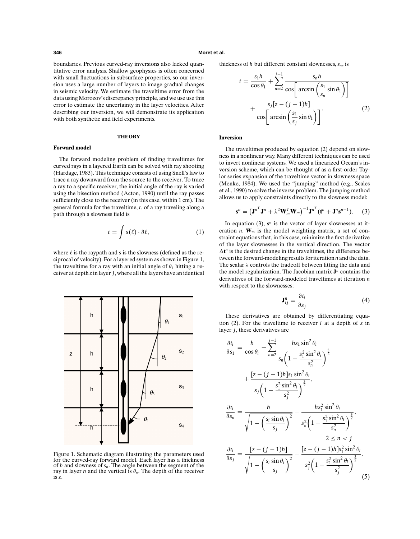### **346 Moret et al.**

boundaries. Previous curved-ray inversions also lacked quantitative error analysis. Shallow geophysics is often concerned with small fluctuations in subsurface properties, so our inversion uses a large number of layers to image gradual changes in seismic velocity. We estimate the traveltime error from the data using Morozov's discrepancy principle, and we use use this error to estimate the uncertainty in the layer velocities. After describing our inversion, we will demonstrate its application with both synthetic and field experiments.

### **THEORY**

### **Forward model**

The forward modeling problem of finding traveltimes for curved rays in a layered Earth can be solved with ray shooting (Hardage, 1983). This technique consists of using Snell's law to trace a ray downward from the source to the receiver. To trace a ray to a specific receiver, the initial angle of the ray is varied using the bisection method (Acton, 1990) until the ray passes sufficiently close to the receiver (in this case, within 1 cm). The general formula for the traveltime, *t*, of a ray traveling along a path through a slowness field is

$$
t = \int s(\ell) \cdot \partial \ell, \tag{1}
$$

where  $\ell$  is the raypath and  $s$  is the slowness (defined as the reciprocal of velocity). For a layered system as shown in Figure 1, the traveltime for a ray with an initial angle of  $\theta_1$  hitting a receiver at depth *z* in layer *j*, where all the layers have an identical



Figure 1. Schematic diagram illustrating the parameters used for the curved-ray forward model. Each layer has a thickness of *h* and slowness of *sn* . The angle between the segment of the ray in layer *n* and the vertical is  $\theta_n$ . The depth of the receiver is *z*.

thickness of *h* but different constant slownesses,  $s_n$ , is

$$
t = \frac{s_1 h}{\cos \theta_1} + \sum_{n=2}^{j-1} \frac{s_n h}{\cos \left[\arcsin\left(\frac{s_1}{s_n}\sin \theta_1\right)\right]} + \frac{s_j [z - (j-1)h]}{\cos \left[\arcsin\left(\frac{s_1}{s_j}\sin \theta_1\right)\right]}.
$$
 (2)

### **Inversion**

The traveltimes produced by equation (2) depend on slowness in a nonlinear way. Many different techniques can be used to invert nonlinear systems. We used a linearized Occam's inversion scheme, which can be thought of as a first-order Taylor series expansion of the traveltime vector in slowness space (Menke, 1984). We used the "jumping" method (e.g., Scales et al., 1990) to solve the inverse problem. The jumping method allows us to apply constraints directly to the slowness model:

$$
\mathbf{s}^{n} = \left(\mathbf{J}^{n^T}\mathbf{J}^{n} + \lambda^2\mathbf{W}_{m}^T\mathbf{W}_{m}\right)^{-1}\mathbf{J}^{n^T}\left(\mathbf{t}^{n} + \mathbf{J}^{n}\mathbf{s}^{n-1}\right).
$$
 (3)

In equation (3),  $s^n$  is the vector of layer slownesses at iteration  $n$ .  $W_m$  is the model weighting matrix, a set of constraint equations that, in this case, minimize the first derivative of the layer slownesses in the vertical direction. The vector  $\Delta t^n$  is the desired change in the traveltimes, the difference between the forward-modeling results for iteration *n* and the data. The scalar  $\lambda$  controls the tradeoff between fitting the data and the model regularization. The Jacobian matrix **J***<sup>n</sup>* contains the derivatives of the forward-modeled traveltimes at iteration *n* with respect to the slownesses:

$$
\mathbf{J}_{ij}^n = \frac{\partial t_i}{\partial s_j} \tag{4}
$$

These derivatives are obtained by differentiating equation (2). For the traveltime to receiver  $i$  at a depth of  $\zeta$  in layer *j*, these derivatives are

$$
\frac{\partial t_i}{\partial s_1} = \frac{h}{\cos \theta_i} + \sum_{n=2}^{j-1} \frac{hs_1 \sin^2 \theta_i}{s_n \left(1 - \frac{s_1^2 \sin^2 \theta_i}{s_n^2}\right)^{\frac{3}{2}}} \n+ \frac{[z - (j - 1)h]s_1 \sin^2 \theta_i}{s_j \left(1 - \frac{s_1^2 \sin^2 \theta_i}{s_j^2}\right)^{\frac{3}{2}}}, \n\frac{\partial t_i}{\partial s_n} = \frac{h}{\sqrt{1 - \left(\frac{s_i \sin \theta_i}{s_j}\right)^2}} - \frac{hs_1^2 \sin^2 \theta_i}{s_n^2 \left(1 - \frac{s_1^2 \sin^2 \theta_i}{s_n^2}\right)^{\frac{3}{2}}}, \n\frac{2 \le n < j}{\sqrt{3s_j}} = \frac{[z - (j - 1)h]}{\sqrt{1 - \left(\frac{s_i \sin \theta_i}{s_j}\right)^2}} - \frac{[z - (j - 1)h]s_1^2 \sin^2 \theta_i}{s_j^2 \left(1 - \frac{s_1^2 \sin^2 \theta_i}{s_j^2}\right)^{\frac{3}{2}}}.
$$
\n(5)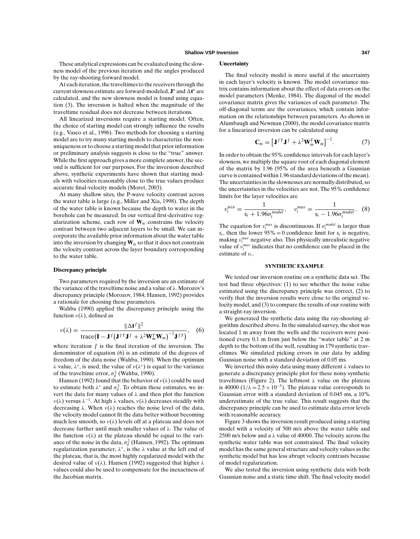These analytical expressions can be evaluated using the slowness model of the previous iteration and the angles produced by the ray-shooting forward model.

At each iteration, the traveltimes to the receivers through the current slowness estimate are forward-modeled,  $J^n$  and  $\Delta t^n$  are calculated, and the new slowness model is found using equation (3). The inversion is halted when the magnitude of the traveltime residual does not decrease between iterations.

All linearized inversions require a starting model. Often, the choice of starting model can strongly influence the results (e.g., Vasco et al., 1996). Two methods for choosing a starting model are to try many starting models to characterize the nonuniqueness or to choose a starting model that prior information or preliminary analysis suggests is close to the "true" answer. While the first approach gives a more complete answer, the second is sufficient for our purposes. For the inversion described above, synthetic experiments have shown that starting models with velocities reasonably close to the true values produce accurate final-velocity models (Moret, 2003).

At many shallow sites, the P-wave velocity contrast across the water table is large (e.g., Miller and Xia, 1998). The depth of the water table is known because the depth to water in the borehole can be measured. In our vertical first-derivative regularization scheme, each row of  $W_m$  constrains the velocity contrast between two adjacent layers to be small. We can incorporate the available prior information about the water table into the inversion by changing **W***<sup>m</sup>* so that it does not constrain the velocity contrast across the layer boundary corresponding to the water table.

### **Discrepancy principle**

Two parameters required by the inversion are an estimate of the variance of the traveltime noise and a value of  $\lambda$ . Morozov's discrepancy principle (Morozov, 1984; Hansen, 1992) provides a rationale for choosing these parameters.

Wahba (1990) applied the discrepancy principle using the function  $v(\lambda)$ , defined as

$$
\nu(\lambda) = \frac{\|\Delta \mathbf{t}^f\|^2}{\text{trace}(\mathbf{I} - \mathbf{J}^f(\mathbf{J}^{f} \mathbf{J}^f + \lambda^2 \mathbf{W}_m^T \mathbf{W}_m)^{-1} \mathbf{J}^{f} \mathbf{I})},\quad(6)
$$

where iteration  $f$  is the final iteration of the inversion. The denominator of equation (6) is an estimate of the degrees of freedom of the data noise (Wahba, 1990). When the optimum λ value, λ∗, is used, the value of ν(λ∗) is equal to the variance of the traveltime error,  $\sigma_d^2$  (Wahba, 1990).

Hansen (1992) found that the behavior of  $v(\lambda)$  could be used to estimate both  $\lambda^*$  and  $\sigma_d^2$ . To obtain these estimates, we invert the data for many values of  $\lambda$  and then plot the function  $ν(λ)$  versus  $λ^{-1}$ . At high  $λ$  values,  $ν(λ)$  decreases steadily with decreasing  $\lambda$ . When  $\nu(\lambda)$  reaches the noise level of the data, the velocity model cannot fit the data better without becoming much less smooth, so  $v(\lambda)$  levels off at a plateau and does not decrease further until much smaller values of λ. The value of the function  $v(\lambda)$  at the plateau should be equal to the variance of the noise in the data,  $\sigma_d^2$  (Hansen, 1992). The optimum regularization parameter,  $\lambda^*$ , is the  $\lambda$  value at the left end of the plateau, that is, the most highly regularized model with the desired value of  $v(\lambda)$ . Hansen (1992) suggested that higher  $\lambda$ values could also be used to compensate for the inexactness of the Jacobian matrix.

### **Uncertainty**

The final velocity model is more useful if the uncertainty in each layer's velocity is known. The model covariance matrix contains information about the effect of data errors on the model parameters (Menke, 1984). The diagonal of the model covariance matrix gives the variances of each parameter. The off-diagonal terms are the covariances, which contain information on the relationships between parameters. As shown in Alumbaugh and Newman (2000), the model covariance matrix for a linearized inversion can be calculated using

$$
\mathbf{C}_m = \left[\mathbf{J}^{fT}\mathbf{J}^f + \lambda^2 \mathbf{W}_m^T \mathbf{W}_m\right]^{-1}.\tag{7}
$$

In order to obtain the 95% confidence intervals for each layer's slowness, we multiply the square root of each diagonal element of the matrix by 1.96 (95% of the area beneath a Gaussian curve is contained within 1.96 standard deviations of the mean). The uncertainties in the slownesses are normally distributed, so the uncertainties in the velocities are not. The 95% confidence limits for the layer velocities are

$$
v_i^{min} = \frac{1}{s_i + 1.96\sigma_i^{model}}, \quad v_i^{max} = \frac{1}{s_i - 1.96\sigma_i^{model}}.
$$
 (8)

The equation for  $v_i^{max}$  is discontinuous. If  $\sigma_i^{model}$  is larger than  $s_i$ , then the lower  $95\% = 0$  confidence limit for  $s_i$  is negative, making  $v_i^{max}$  negative also. This physically unrealistic negative value of ν*max <sup>i</sup>* indicates that no confidence can be placed in the estimate of ν*<sup>i</sup>* .

### **SYNTHETIC EXAMPLE**

We tested our inversion routine on a synthetic data set. The test had three objectives: (1) to see whether the noise value estimated using the discrepancy principle was correct, (2) to verify that the inversion results were close to the original velocity model, and (3) to compare the results of our routine with a straight-ray inversion.

We generated the synthetic data using the ray-shooting algorithm described above. In the simulated survey, the shot was located 1 m away from the wells and the receivers were positioned every 0.1 m from just below the "water table" at 2 m depth to the bottom of the well, resulting in 179 synthetic traveltimes. We simulated picking errors in our data by adding Gaussian noise with a standard deviation of 0.05 ms.

We inverted this noisy data using many different  $\lambda$  values to generate a discrepancy principle plot for these noisy synthetic traveltimes (Figure 2). The leftmost  $\lambda$  value on the plateau is 40000 ( $1/\lambda = 2.5 \times 10^{-5}$ ). The plateau value corresponds to Gaussian error with a standard deviation of 0.045 ms, a 10% underestimate of the true value. This result suggests that the discrepancy principle can be used to estimate data error levels with reasonable accuracy.

Figure 3 shows the inversion result produced using a starting model with a velocity of 500 m/s above the water table and 2500 m/s below and a  $\lambda$  value of 40000. The velocity across the synthetic water table was not constrained. The final velocity model has the same general structure and velocity values as the synthetic model but has less abrupt velocity contrasts because of model regularization.

We also tested the inversion using synthetic data with both Gaussian noise and a static time shift. The final velocity model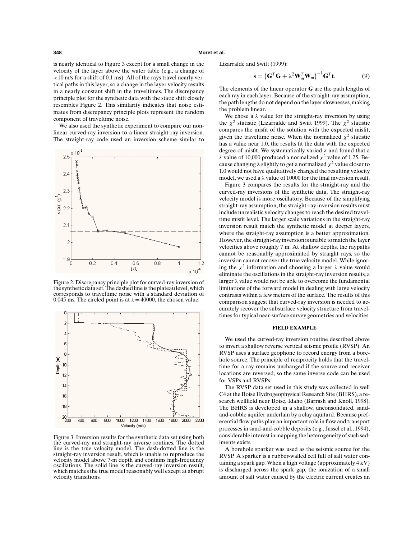### **348 Moret et al.**

is nearly identical to Figure 3 except for a small change in the velocity of the layer above the water table (e.g., a change of <10 m/s for a shift of 0.1 ms). All of the rays travel nearly vertical paths in this layer, so a change in the layer velocity results in a nearly constant shift in the traveltimes. The discrepancy principle plot for the synthetic data with the static shift closely resembles Figure 2. This similarity indicates that noise estimates from discrepancy principle plots represent the random component of traveltime noise.

We also used the synthetic experiment to compare our nonlinear curved-ray inversion to a linear straight-ray inversion. The straight-ray code used an inversion scheme similar to



Figure 2. Discrepancy principle plot for curved-ray inversion of the synthetic data set. The dashed line is the plateau level, which corresponds to traveltime noise with a standard deviation of 0.045 ms. The circled point is at  $\lambda = 40000$ , the chosen value.



Figure 3. Inversion results for the synthetic data set using both the curved-ray and straight-ray inverse routines. The dotted line is the true velocity model. The dash-dotted line is the straight-ray inversion result, which is unable to reproduce the velocity model above 7-m depth and contains high-frequency oscillations. The solid line is the curved-ray inversion result, which matches the true model reasonably well except at abrupt velocity transitions.

Lizarralde and Swift (1999):

$$
\mathbf{s} = \left(\mathbf{G}^T\mathbf{G} + \lambda^2\mathbf{W}_m^T\mathbf{W}_m\right)^{-1}\mathbf{G}^T\mathbf{t}.\tag{9}
$$

The elements of the linear operator **G** are the path lengths of each ray in each layer. Because of the straight-ray assumption, the path lengths do not depend on the layer slownesses, making the problem linear.

We chose a  $\lambda$  value for the straight-ray inversion by using the  $\chi^2$  statistic (Lizarralde and Swift 1999). The  $\chi^2$  statistic compares the misfit of the solution with the expected misfit, given the traveltime noise. When the normalized  $\chi^2$  statistic has a value near 1.0, the results fit the data with the expected degree of misfit. We systematically varied  $\lambda$  and found that a λ value of 10,000 produced a normalized  $\chi^2$  value of 1.25. Because changing  $\lambda$  slightly to get a normalized  $\chi^2$  value closer to 1.0 would not have qualitatively changed the resulting velocity model, we used a  $\lambda$  value of 10000 for the final inversion result.

Figure 3 compares the results for the straight-ray and the curved-ray inversions of the synthetic data. The straight-ray velocity model is more oscillatory. Because of the simplifying straight-ray assumption, the straight-ray inversion results must include unrealistic velocity changes to reach the desired traveltime misfit level. The larger scale variations in the straight-ray inversion result match the synthetic model at deeper layers, where the straight-ray assumption is a better approximation. However, the straight-ray inversion is unable to match the layer velocities above roughly 7 m. At shallow depths, the raypaths cannot be reasonably approximated by straight rays, so the inversion cannot recover the true velocity model. While ignoring the  $\chi^2$  information and choosing a larger  $\lambda$  value would eliminate the oscillations in the straight-ray inversion results, a larger  $\lambda$  value would not be able to overcome the fundamental limitations of the forward model in dealing with large velocity contrasts within a few meters of the surface. The results of this comparison suggest that curved-ray inversion is needed to accurately recover the subsurface velocity structure from traveltimes for typical near-surface survey geometries and velocities.

### **FIELD EXAMPLE**

We used the curved-ray inversion routine described above to invert a shallow reverse vertical seismic profile (RVSP). An RVSP uses a surface geophone to record energy from a borehole source. The principle of reciprocity holds that the traveltime for a ray remains unchanged if the source and receiver locations are reversed, so the same inverse code can be used for VSPs and RVSPs.

The RVSP data set used in this study was collected in well C4 at the Boise Hydrogeophysical Research Site (BHRS), a research wellfield near Boise, Idaho (Barrash and Knoll, 1998). The BHRS is developed in a shallow, unconsolidated, sandand-cobble aquifer underlain by a clay aquitard. Because preferential flow paths play an important role in flow and transport processes in sand-and-cobble deposits (e.g., Jussel et al., 1994), considerable interest in mapping the heterogeneity of such sediments exists.

A borehole sparker was used as the seismic source for the RVSP. A sparker is a rubber-walled cell full of salt water containing a spark gap. When a high voltage (approximately 4 kV) is discharged across the spark gap, the ionization of a small amount of salt water caused by the electric current creates an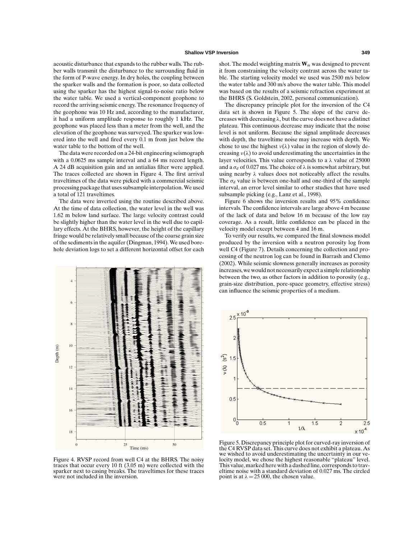acoustic disturbance that expands to the rubber walls. The rubber walls transmit the disturbance to the surrounding fluid in the form of P-wave energy. In dry holes, the coupling between the sparker walls and the formation is poor, so data collected using the sparker has the highest signal-to-noise ratio below the water table. We used a vertical-component geophone to record the arriving seismic energy. The resonance frequency of the geophone was 10 Hz and, according to the manufacturer, it had a uniform amplitude response to roughly 1 kHz. The geophone was placed less than a meter from the well, and the elevation of the geophone was surveyed. The sparker was lowered into the well and fired every 0.1 m from just below the water table to the bottom of the well.

The data were recorded on a 24-bit engineering seismograph with a 0.0625 ms sample interval and a 64 ms record length. A 24 dB acquisition gain and an antialias filter were applied. The traces collected are shown in Figure 4. The first arrival traveltimes of the data were picked with a commercial seismic processing package that uses subsample interpolation. We used a total of 121 traveltimes.

The data were inverted using the routine described above. At the time of data collection, the water level in the well was 1.62 m below land surface. The large velocity contrast could be slightly higher than the water level in the well due to capillary effects. At the BHRS, however, the height of the capillary fringe would be relatively small because of the coarse grain size of the sediments in the aquifer (Dingman, 1994). We used borehole deviation logs to set a different horizontal offset for each



Figure 4. RVSP record from well C4 at the BHRS. The noisy traces that occur every 10 ft (3.05 m) were collected with the sparker next to casing breaks. The traveltimes for these traces were not included in the inversion.

shot. The model weighting matrix  $W_m$  was designed to prevent it from constraining the velocity contrast across the water table. The starting velocity model we used was 2500 m/s below the water table and 300 m/s above the water table. This model was based on the results of a seismic refraction experiment at the BHRS (S. Goldstein, 2002, personal communication).

The discrepancy principle plot for the inversion of the C4 data set is shown in Figure 5. The slope of the curve decreases with decreasing  $\lambda$ , but the curve does not have a distinct plateau. This continuous decrease may indicate that the noise level is not uniform. Because the signal amplitude decreases with depth, the traveltime noise may increase with depth. We chose to use the highest  $v(\lambda)$  value in the region of slowly decreasing  $v(\lambda)$  to avoid underestimating the uncertainties in the layer velocities. This value corresponds to a  $\lambda$  value of 25000 and a  $\sigma_d$  of 0.027 ms. The choice of  $\lambda$  is somewhat arbitrary, but using nearby  $\lambda$  values does not noticeably affect the results. The  $\sigma_d$  value is between one-half and one-third of the sample interval, an error level similar to other studies that have used subsample picking (e.g., Lanz et al., 1998).

Figure 6 shows the inversion results and 95% confidence intervals. The confidence intervals are large above 4 m because of the lack of data and below 16 m because of the low ray coverage. As a result, little confidence can be placed in the velocity model except between 4 and 16 m.

To verify our results, we compared the final slowness model produced by the inversion with a neutron porosity log from well C4 (Figure 7). Details concerning the collection and processing of the neutron log can be found in Barrash and Clemo (2002). While seismic slowness generally increases as porosity increases, we would not necessarily expect a simple relationship between the two, as other factors in addition to porosity (e.g., grain-size distribution, pore-space geometry, effective stress) can influence the seismic properties of a medium.



Figure 5. Discrepancy principle plot for curved-ray inversion of the C4 RVSP data set. This curve does not exhibit a plateau. As we wished to avoid underestimating the uncertainty in our velocity model, we chose the highest reasonable "plateau" level. This value, marked here with a dashed line, corresponds to traveltime noise with a standard deviation of 0.027 ms. The circled point is at  $\lambda = 25000$ , the chosen value.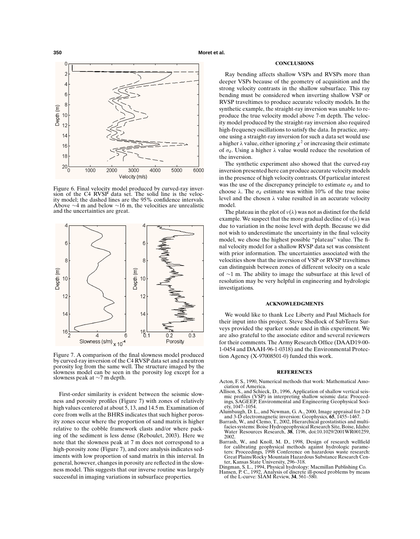

Figure 6. Final velocity model produced by curved-ray inversion of the C4 RVSP data set. The solid line is the velocity model; the dashed lines are the 95% confidence intervals. Above  $\sim$ 4 m and below  $\sim$ 16 m, the velocities are unrealistic and the uncertainties are great.



Figure 7. A comparison of the final slowness model produced by curved-ray inversion of the C4 RVSP data set and a neutron porosity log from the same well. The structure imaged by the slowness model can be seen in the porosity log except for a slowness peak at ∼7 m depth.

First-order similarity is evident between the seismic slowness and porosity profiles (Figure 7) with zones of relatively high values centered at about 5, 13, and 14.5 m. Examination of core from wells at the BHRS indicates that such higher porosity zones occur where the proportion of sand matrix is higher relative to the cobble framework clasts and/or where packing of the sediment is less dense (Reboulet, 2003). Here we note that the slowness peak at 7 m does not correspond to a high-porosity zone (Figure 7), and core analysis indicates sediments with low proportion of sand matrix in this interval. In general, however, changes in porosity are reflected in the slowness model. This suggests that our inverse routine was largely successful in imaging variations in subsurface properties.

### **CONCLUSIONS**

Ray bending affects shallow VSPs and RVSPs more than deeper VSPs because of the geometry of acquisition and the strong velocity contrasts in the shallow subsurface. This ray bending must be considered when inverting shallow VSP or RVSP traveltimes to produce accurate velocity models. In the synthetic example, the straight-ray inversion was unable to reproduce the true velocity model above 7-m depth. The velocity model produced by the straight-ray inversion also required high-frequency oscillations to satisfy the data. In practice, anyone using a straight-ray inversion for such a data set would use a higher  $\lambda$  value, either ignoring  $\chi^2$  or increasing their estimate of  $\sigma_d$ . Using a higher  $\lambda$  value would reduce the resolution of the inversion.

The synthetic experiment also showed that the curved-ray inversion presented here can produce accurate velocity models in the presence of high velocity contrasts. Of particular interest was the use of the discrepancy principle to estimate  $\sigma_d$  and to choose  $\lambda$ . The  $\sigma_d$  estimate was within 10% of the true noise level and the chosen  $\lambda$  value resulted in an accurate velocity model.

The plateau in the plot of  $v(\lambda)$  was not as distinct for the field example. We suspect that the more gradual decline of  $v(\lambda)$  was due to variation in the noise level with depth. Because we did not wish to underestimate the uncertainty in the final velocity model, we chose the highest possible "plateau" value. The final velocity model for a shallow RVSP data set was consistent with prior information. The uncertainties associated with the velocities show that the inversion of VSP or RVSP traveltimes can distinguish between zones of different velocity on a scale of ∼1 m. The ability to image the subsurface at this level of resolution may be very helpful in engineering and hydrologic investigations.

### **ACKNOWLEDGMENTS**

We would like to thank Lee Liberty and Paul Michaels for their input into this project. Steve Shedlock of SubTerra Surveys provided the sparker sonde used in this experiment. We are also grateful to the associate editor and several reviewers for their comments. The Army Research Office (DAAD19-00- 1-0454 and DAAH-96-1-0318) and the Environmental Protection Agency (X-97008501-0) funded this work.

### **REFERENCES**

- Acton, F. S., 1990, Numerical methods that work: Mathematical Association of America.
- Allison, S., and Schieck, D., 1996, Application of shallow vertical seismic profiles (VSP) in interpreting shallow seismic data: Proceedings, SAGEEP, Environmental and Engineering Geophysical Society, 1047–1054.
- Alumbaugh, D. L., and Newman, G. A., 2000, Image appraisal for 2-D and 3-D electromagnetic inversion: Geophysics, **65**, 1455–1467.
- Barrash, W., and Clemo, T., 2002, Hierarchical geostatistics and multifacies systems: Boise Hydrogeophysical Research Site, Boise, Idaho: Water Resources Research, **38**, 1196, doi:10.1029/2001WR001259, 2002.
- Barrash, W., and Knoll, M. D., 1998, Design of research wellfield for calibrating geophysical methods against hydrologic parame-ters: Proceedings, 1998 Conference on hazardous waste research: Great Plains/Rocky Mountain Hazardous Substance Research Center, Kansas State University, 296–318.
- Dingman, S. L., 1994, Physical hydrology: Macmillan Publishing Co.
- Hansen, P. C., 1992, Analysis of discrete ill-posed problems by means of the L-curve: SIAM Review, **34**, 561–580.